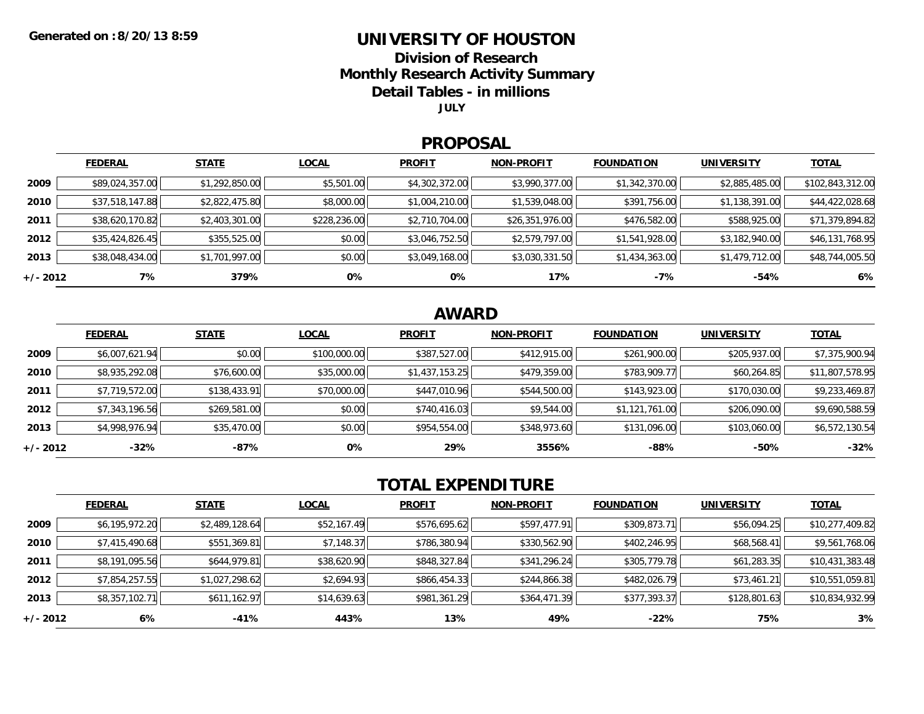### **UNIVERSITY OF HOUSTON**

**Division of Research**

**Monthly Research Activity Summary**

**Detail Tables - in millions**

**JULY**

#### **PROPOSAL**

|            | <b>FEDERAL</b>  | <b>STATE</b>   | <b>LOCAL</b> | <b>PROFIT</b>  | <b>NON-PROFIT</b> | <b>FOUNDATION</b> | <b>UNIVERSITY</b> | <b>TOTAL</b>     |
|------------|-----------------|----------------|--------------|----------------|-------------------|-------------------|-------------------|------------------|
| 2009       | \$89,024,357.00 | \$1,292,850.00 | \$5,501.00   | \$4,302,372.00 | \$3,990,377.00    | \$1,342,370.00    | \$2,885,485.00    | \$102,843,312.00 |
| 2010       | \$37,518,147.88 | \$2,822,475.80 | \$8,000.00   | \$1,004,210.00 | \$1,539,048.00    | \$391,756.00      | \$1,138,391.00    | \$44,422,028.68  |
| 2011       | \$38,620,170.82 | \$2,403,301.00 | \$228,236.00 | \$2,710,704.00 | \$26,351,976.00   | \$476,582.00      | \$588,925.00      | \$71,379,894.82  |
| 2012       | \$35,424,826.45 | \$355,525.00   | \$0.00       | \$3,046,752.50 | \$2,579,797.00    | \$1,541,928.00    | \$3,182,940.00    | \$46,131,768.95  |
| 2013       | \$38,048,434.00 | \$1,701,997.00 | \$0.00       | \$3,049,168.00 | \$3,030,331.50    | \$1,434,363.00    | \$1,479,712.00    | \$48,744,005.50  |
| $+/- 2012$ | 7%              | 379%           | 0%           | 0%             | 17%               | $-7%$             | -54%              | 6%               |

## **AWARD**

|            | <b>FEDERAL</b> | <b>STATE</b> | <b>LOCAL</b> | <b>PROFIT</b>  | <b>NON-PROFIT</b> | <b>FOUNDATION</b> | <b>UNIVERSITY</b> | <b>TOTAL</b>    |
|------------|----------------|--------------|--------------|----------------|-------------------|-------------------|-------------------|-----------------|
| 2009       | \$6,007,621.94 | \$0.00       | \$100,000.00 | \$387,527.00   | \$412,915.00      | \$261,900.00      | \$205,937.00      | \$7,375,900.94  |
| 2010       | \$8,935,292.08 | \$76,600.00  | \$35,000.00  | \$1,437,153.25 | \$479,359.00      | \$783,909.77      | \$60,264.85       | \$11,807,578.95 |
| 2011       | \$7,719,572.00 | \$138,433.91 | \$70,000.00  | \$447,010.96   | \$544,500.00      | \$143,923.00      | \$170,030.00      | \$9,233,469.87  |
| 2012       | \$7,343,196.56 | \$269,581.00 | \$0.00       | \$740,416.03   | \$9,544.00        | \$1,121,761.00    | \$206,090.00      | \$9,690,588.59  |
| 2013       | \$4,998,976.94 | \$35,470.00  | \$0.00       | \$954,554.00   | \$348,973.60      | \$131,096.00      | \$103,060.00      | \$6,572,130.54  |
| $+/- 2012$ | $-32%$         | -87%         | 0%           | 29%            | 3556%             | $-88%$            | $-50%$            | $-32%$          |

# **TOTAL EXPENDITURE**

|          | <b>FEDERAL</b> | <b>STATE</b>   | <b>LOCAL</b> | <b>PROFIT</b> | <b>NON-PROFIT</b> | <b>FOUNDATION</b> | <b>UNIVERSITY</b> | <b>TOTAL</b>    |
|----------|----------------|----------------|--------------|---------------|-------------------|-------------------|-------------------|-----------------|
| 2009     | \$6,195,972.20 | \$2,489,128.64 | \$52,167.49  | \$576,695.62  | \$597,477.91      | \$309,873.71      | \$56,094.25       | \$10,277,409.82 |
| 2010     | \$7,415,490.68 | \$551,369.81   | \$7,148.37   | \$786,380.94  | \$330,562.90      | \$402,246.95      | \$68,568.41       | \$9,561,768.06  |
| 2011     | \$8,191,095.56 | \$644,979.81   | \$38,620.90  | \$848,327.84  | \$341,296.24      | \$305,779.78      | \$61,283.35       | \$10,431,383.48 |
| 2012     | \$7,854,257.55 | \$1,027,298.62 | \$2,694.93   | \$866,454.33  | \$244,866.38      | \$482,026.79      | \$73,461.21       | \$10,551,059.81 |
| 2013     | \$8,357,102.71 | \$611,162.97   | \$14,639.63  | \$981,361.29  | \$364,471.39      | \$377,393.37      | \$128,801.63      | \$10,834,932.99 |
| +/- 2012 | 6%             | -41%           | 443%         | 13%           | 49%               | $-22\%$           | 75%               | 3%              |